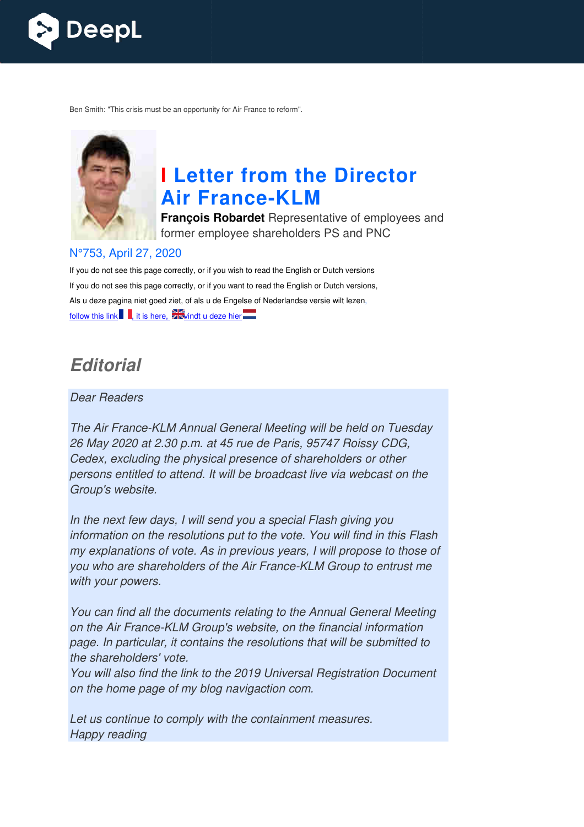

Ben Smith: "This crisis must be an opportunity for Air France to reform".



# **I Letter from the Director Air France France-KLM**

**François Robardet** Representative of employees and former employee shareholders PS and PNC

#### N°753, April 27, 2020

If you do not see this page correctly, or if you wish to read the English or Dutch versions If you do not see this page correctly, or if you want to read the English or Dutch versions, Als u deze pagina niet goed ziet, of als u de Engelse of Nederlandse versie wilt lezen, follow this link  $\blacksquare$ , it is here,  $\blacksquare$  windt u deze hier

## *Editorial*

#### Dear Readers

The Air France-KLM Annual General Meeting will be held on Tuesday 26 May 2020 at 2.30 p.m. at 45 rue de Paris, 95747 Roissy CDG, Cedex, excluding the physical presence of shareholders or other The Air France-KLM Annual General Meeting will be held on Tuesday<br>26 May 2020 at 2.30 p.m. at 45 rue de Paris, 95747 Roissy CDG,<br>Cedex, excluding the physical presence of shareholders or other<br>persons entitled to attend. I Group's website.

In the next few days, I will send you a special Flash giving you information on the resolutions put to the vote. You will find in this Flash my explanations of vote. As in previous years, I will propose to those of you who are shareholders of the Air France-KLM Group to entrust me with your powers. dcast live via webcast<br>becial Flash giving you<br>vote. You will find in th<br>years, I will propose to<br>nce-KLM Group to enti<br>to the Annual General<br>on the financial inform<br>tions that will be subm

You can find all the documents relating to the Annual General Meeting on the Air France-KLM Group's website, on the financial information on the Air France-KLM Group's website, on the financial information<br>page. In particular, it contains the resolutions that will be submitted to the shareholders' vote.

You will also find the link to the 2019 Universal Registration Document on the home page of my blog navigaction com.

Let us continue to comply with the containment measures. Happy reading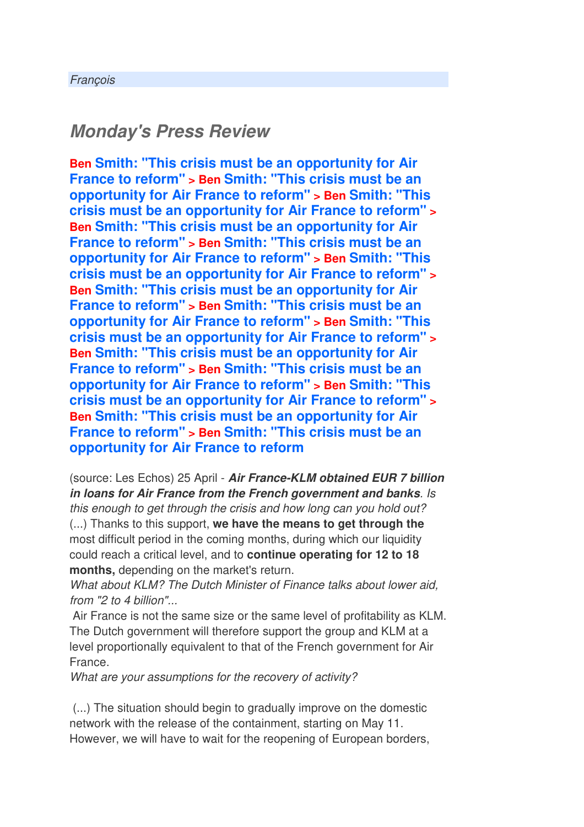## *Monday's Press Review*

**Ben Smith: "This crisis must be an opportunity for Air France to reform" > Ben Smith: "This crisis must be an opportunity for Air France to reform" > Ben Smith: "This crisis must be an opportunity for Air France to reform" > Ben Smith: "This crisis must be an opportunity for Air France to reform" > Ben Smith: "This crisis must be an opportunity for Air France to reform" > Ben Smith: "This crisis must be an opportunity for Air France to reform" > Ben Smith: "This crisis must be an opportunity for Air France to reform" > Ben Smith: "This crisis must be an opportunity for Air France to reform" > Ben Smith: "This crisis must be an opportunity for Air France to reform" > Ben Smith: "This crisis must be an opportunity for Air France to reform" > Ben Smith: "This crisis must be an opportunity for Air France to reform" > Ben Smith: "This crisis must be an opportunity for Air France to reform" > Ben Smith: "This crisis must be an opportunity for Air France to reform" > Ben Smith: "This crisis must be an opportunity for Air France to reform**

(source: Les Echos) 25 April - *Air France-KLM obtained EUR 7 billion in loans for Air France from the French government and banks*. Is this enough to get through the crisis and how long can you hold out? (...) Thanks to this support, **we have the means to get through the** most difficult period in the coming months, during which our liquidity could reach a critical level, and to **continue operating for 12 to 18 months,** depending on the market's return.

What about KLM? The Dutch Minister of Finance talks about lower aid, from "2 to 4 billion"...

Air France is not the same size or the same level of profitability as KLM. The Dutch government will therefore support the group and KLM at a level proportionally equivalent to that of the French government for Air France.

What are your assumptions for the recovery of activity?

 (...) The situation should begin to gradually improve on the domestic network with the release of the containment, starting on May 11. However, we will have to wait for the reopening of European borders,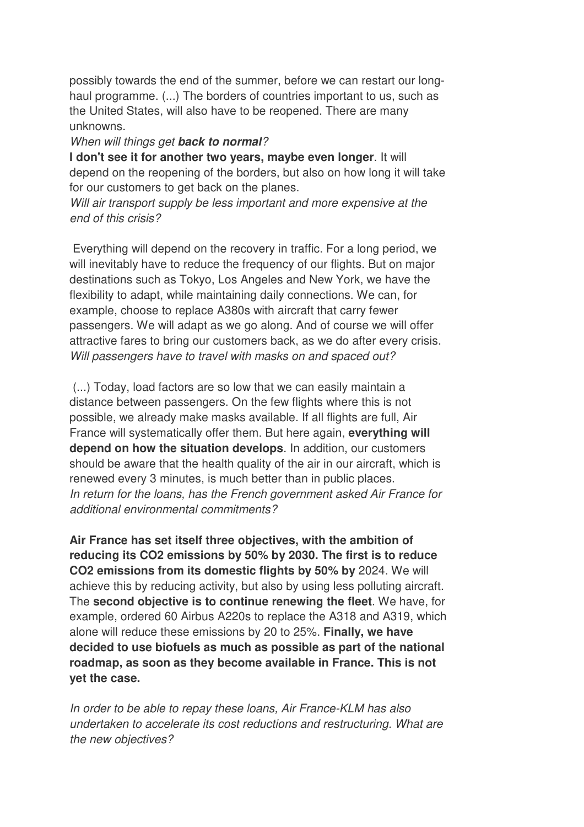possibly towards the end of the summer, before we can restart our longhaul programme. (...) The borders of countries important to us, such as the United States, will also have to be reopened. There are many unknowns.

#### When will things get *back to normal*?

**I don't see it for another two years, maybe even longer**. It will depend on the reopening of the borders, but also on how long it will take for our customers to get back on the planes.

Will air transport supply be less important and more expensive at the end of this crisis?

 Everything will depend on the recovery in traffic. For a long period, we will inevitably have to reduce the frequency of our flights. But on major destinations such as Tokyo, Los Angeles and New York, we have the flexibility to adapt, while maintaining daily connections. We can, for example, choose to replace A380s with aircraft that carry fewer passengers. We will adapt as we go along. And of course we will offer attractive fares to bring our customers back, as we do after every crisis. Will passengers have to travel with masks on and spaced out?

 (...) Today, load factors are so low that we can easily maintain a distance between passengers. On the few flights where this is not possible, we already make masks available. If all flights are full, Air France will systematically offer them. But here again, **everything will depend on how the situation develops**. In addition, our customers should be aware that the health quality of the air in our aircraft, which is renewed every 3 minutes, is much better than in public places. In return for the loans, has the French government asked Air France for additional environmental commitments?

**Air France has set itself three objectives, with the ambition of reducing its CO2 emissions by 50% by 2030. The first is to reduce CO2 emissions from its domestic flights by 50% by** 2024. We will achieve this by reducing activity, but also by using less polluting aircraft. The **second objective is to continue renewing the fleet**. We have, for example, ordered 60 Airbus A220s to replace the A318 and A319, which alone will reduce these emissions by 20 to 25%. **Finally, we have decided to use biofuels as much as possible as part of the national roadmap, as soon as they become available in France. This is not yet the case.** 

In order to be able to repay these loans, Air France-KLM has also undertaken to accelerate its cost reductions and restructuring. What are the new objectives?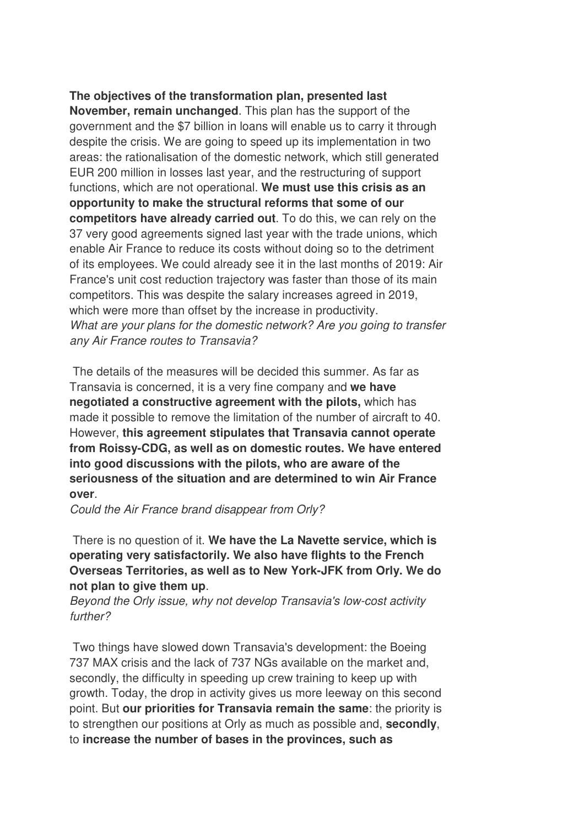**The objectives of the transformation plan, presented last November, remain unchanged**. This plan has the support of the government and the \$7 billion in loans will enable us to carry it through despite the crisis. We are going to speed up its implementation in two areas: the rationalisation of the domestic network, which still generated EUR 200 million in losses last year, and the restructuring of support functions, which are not operational. **We must use this crisis as an opportunity to make the structural reforms that some of our competitors have already carried out**. To do this, we can rely on the 37 very good agreements signed last year with the trade unions, which enable Air France to reduce its costs without doing so to the detriment of its employees. We could already see it in the last months of 2019: Air France's unit cost reduction trajectory was faster than those of its main competitors. This was despite the salary increases agreed in 2019, which were more than offset by the increase in productivity. What are your plans for the domestic network? Are you going to transfer any Air France routes to Transavia?

 The details of the measures will be decided this summer. As far as Transavia is concerned, it is a very fine company and **we have negotiated a constructive agreement with the pilots,** which has made it possible to remove the limitation of the number of aircraft to 40. However, **this agreement stipulates that Transavia cannot operate from Roissy-CDG, as well as on domestic routes. We have entered into good discussions with the pilots, who are aware of the seriousness of the situation and are determined to win Air France over**.

Could the Air France brand disappear from Orly?

 There is no question of it. **We have the La Navette service, which is operating very satisfactorily. We also have flights to the French Overseas Territories, as well as to New York-JFK from Orly. We do not plan to give them up**.

Beyond the Orly issue, why not develop Transavia's low-cost activity further?

 Two things have slowed down Transavia's development: the Boeing 737 MAX crisis and the lack of 737 NGs available on the market and, secondly, the difficulty in speeding up crew training to keep up with growth. Today, the drop in activity gives us more leeway on this second point. But **our priorities for Transavia remain the same**: the priority is to strengthen our positions at Orly as much as possible and, **secondly**, to **increase the number of bases in the provinces, such as**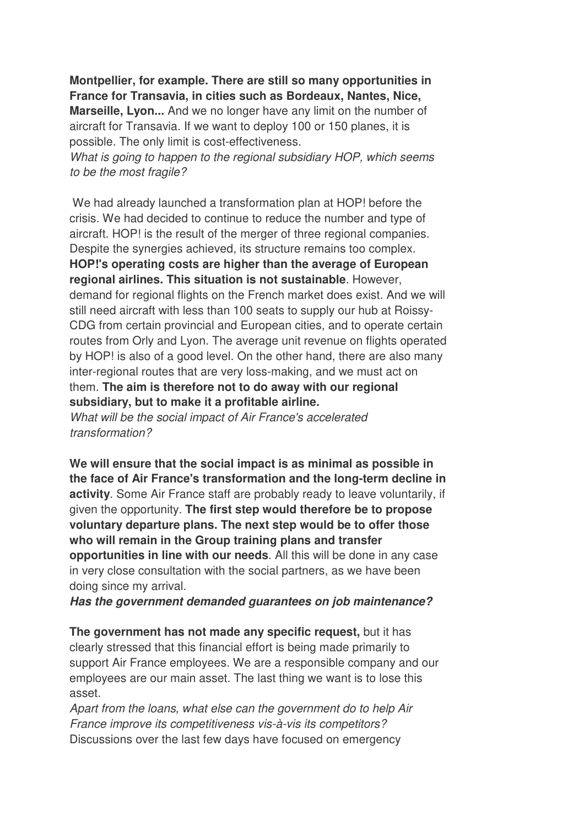**Montpellier, for example. There are still so many opportunities in France for Transavia, in cities such as Bordeaux, Nantes, Nice,** 

**Marseille, Lyon...** And we no longer have any limit on the number of aircraft for Transavia. If we want to deploy 100 or 150 planes, it is possible. The only limit is cost-effectiveness.

What is going to happen to the regional subsidiary HOP, which seems to be the most fragile?

 We had already launched a transformation plan at HOP! before the crisis. We had decided to continue to reduce the number and type of aircraft. HOP! is the result of the merger of three regional companies. Despite the synergies achieved, its structure remains too complex. **HOP!'s operating costs are higher than the average of European regional airlines. This situation is not sustainable**. However, demand for regional flights on the French market does exist. And we will still need aircraft with less than 100 seats to supply our hub at Roissy-CDG from certain provincial and European cities, and to operate certain routes from Orly and Lyon. The average unit revenue on flights operated by HOP! is also of a good level. On the other hand, there are also many inter-regional routes that are very loss-making, and we must act on them. **The aim is therefore not to do away with our regional subsidiary, but to make it a profitable airline.** 

What will be the social impact of Air France's accelerated transformation?

**We will ensure that the social impact is as minimal as possible in the face of Air France's transformation and the long-term decline in activity**. Some Air France staff are probably ready to leave voluntarily, if given the opportunity. **The first step would therefore be to propose voluntary departure plans. The next step would be to offer those who will remain in the Group training plans and transfer opportunities in line with our needs**. All this will be done in any case in very close consultation with the social partners, as we have been doing since my arrival.

*Has the government demanded guarantees on job maintenance?* 

**The government has not made any specific request,** but it has clearly stressed that this financial effort is being made primarily to support Air France employees. We are a responsible company and our employees are our main asset. The last thing we want is to lose this asset.

Apart from the loans, what else can the government do to help Air France improve its competitiveness vis-à-vis its competitors? Discussions over the last few days have focused on emergency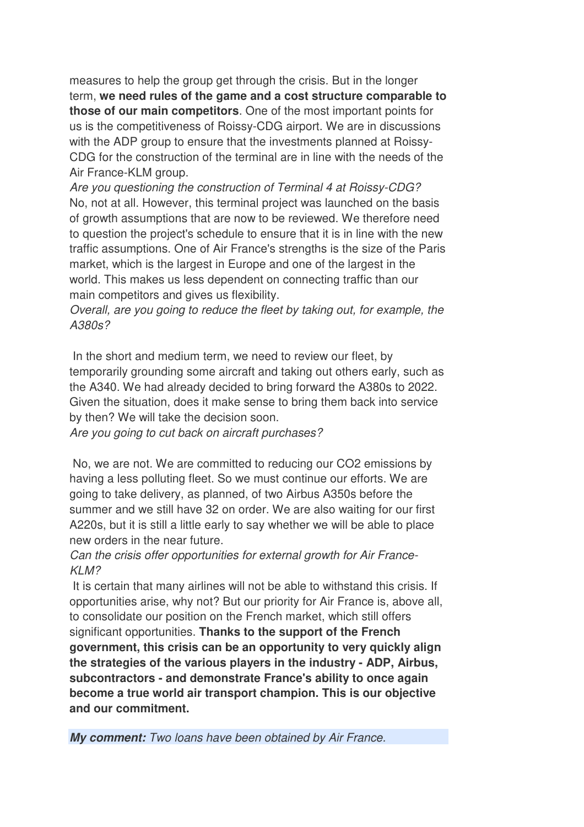measures to help the group get through the crisis. But in the longer term, **we need rules of the game and a cost structure comparable to those of our main competitors**. One of the most important points for us is the competitiveness of Roissy-CDG airport. We are in discussions with the ADP group to ensure that the investments planned at Roissy-CDG for the construction of the terminal are in line with the needs of the Air France-KLM group.

Are you questioning the construction of Terminal 4 at Roissy-CDG? No, not at all. However, this terminal project was launched on the basis of growth assumptions that are now to be reviewed. We therefore need to question the project's schedule to ensure that it is in line with the new traffic assumptions. One of Air France's strengths is the size of the Paris market, which is the largest in Europe and one of the largest in the world. This makes us less dependent on connecting traffic than our main competitors and gives us flexibility.

Overall, are you going to reduce the fleet by taking out, for example, the A380s?

 In the short and medium term, we need to review our fleet, by temporarily grounding some aircraft and taking out others early, such as the A340. We had already decided to bring forward the A380s to 2022. Given the situation, does it make sense to bring them back into service by then? We will take the decision soon.

Are you going to cut back on aircraft purchases?

 No, we are not. We are committed to reducing our CO2 emissions by having a less polluting fleet. So we must continue our efforts. We are going to take delivery, as planned, of two Airbus A350s before the summer and we still have 32 on order. We are also waiting for our first A220s, but it is still a little early to say whether we will be able to place new orders in the near future.

#### Can the crisis offer opportunities for external growth for Air France-KLM?

 It is certain that many airlines will not be able to withstand this crisis. If opportunities arise, why not? But our priority for Air France is, above all, to consolidate our position on the French market, which still offers significant opportunities. **Thanks to the support of the French government, this crisis can be an opportunity to very quickly align the strategies of the various players in the industry - ADP, Airbus, subcontractors - and demonstrate France's ability to once again become a true world air transport champion. This is our objective and our commitment.**

*My comment:* Two loans have been obtained by Air France.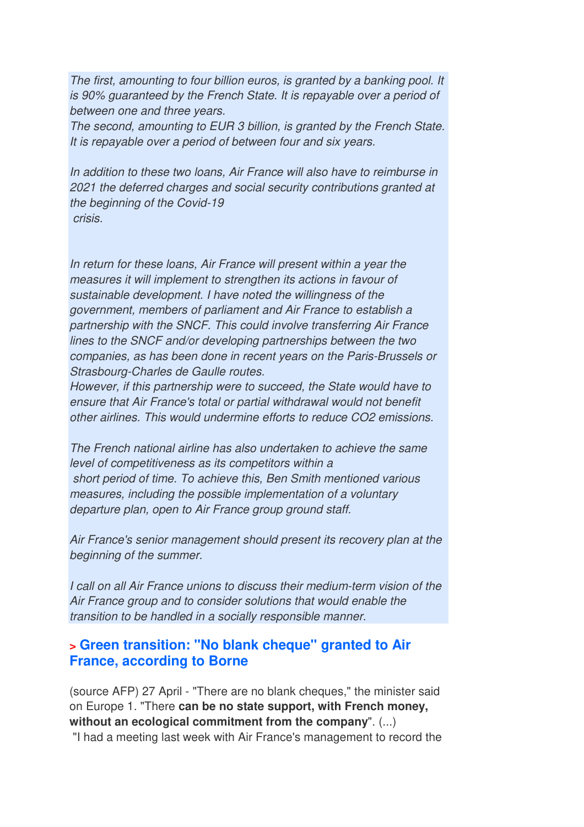The first, amounting to four billion euros, is granted by a banking pool. It is 90% guaranteed by the French State. It is repayable over a period of between one and three years.

The second, amounting to EUR 3 billion, is granted by the French State. It is repayable over a period of between four and six years.

In addition to these two loans, Air France will also have to reimburse in 2021 the deferred charges and social security contributions granted at the beginning of the Covid-19 crisis.

In return for these loans, Air France will present within a year the measures it will implement to strengthen its actions in favour of sustainable development. I have noted the willingness of the government, members of parliament and Air France to establish a partnership with the SNCF. This could involve transferring Air France lines to the SNCF and/or developing partnerships between the two companies, as has been done in recent years on the Paris-Brussels or Strasbourg-Charles de Gaulle routes.

However, if this partnership were to succeed, the State would have to ensure that Air France's total or partial withdrawal would not benefit other airlines. This would undermine efforts to reduce CO2 emissions.

The French national airline has also undertaken to achieve the same level of competitiveness as its competitors within a short period of time. To achieve this, Ben Smith mentioned various measures, including the possible implementation of a voluntary departure plan, open to Air France group ground staff.

Air France's senior management should present its recovery plan at the beginning of the summer.

I call on all Air France unions to discuss their medium-term vision of the Air France group and to consider solutions that would enable the transition to be handled in a socially responsible manner.

#### **> Green transition: "No blank cheque" granted to Air France, according to Borne**

(source AFP) 27 April - "There are no blank cheques," the minister said on Europe 1. "There **can be no state support, with French money, without an ecological commitment from the company**". (...)

"I had a meeting last week with Air France's management to record the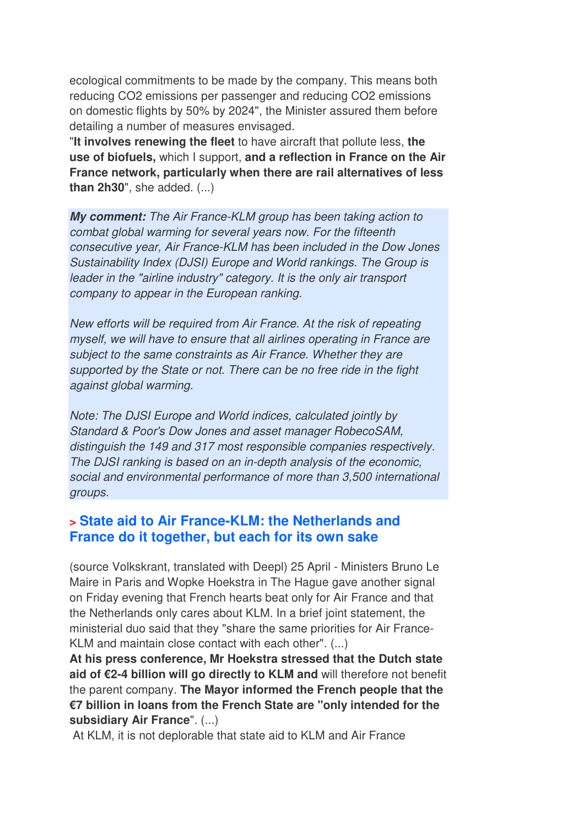ecological commitments to be made by the company. This means both reducing CO2 emissions per passenger and reducing CO2 emissions on domestic flights by 50% by 2024", the Minister assured them before detailing a number of measures envisaged.

"**It involves renewing the fleet** to have aircraft that pollute less, **the use of biofuels,** which I support, **and a reflection in France on the Air France network, particularly when there are rail alternatives of less than 2h30**", she added. (...)

*My comment:* The Air France-KLM group has been taking action to combat global warming for several years now. For the fifteenth consecutive year, Air France-KLM has been included in the Dow Jones Sustainability Index (DJSI) Europe and World rankings. The Group is leader in the "airline industry" category. It is the only air transport company to appear in the European ranking.

New efforts will be required from Air France. At the risk of repeating myself, we will have to ensure that all airlines operating in France are subject to the same constraints as Air France. Whether they are supported by the State or not. There can be no free ride in the fight against global warming.

Note: The DJSI Europe and World indices, calculated jointly by Standard & Poor's Dow Jones and asset manager RobecoSAM, distinguish the 149 and 317 most responsible companies respectively. The DJSI ranking is based on an in-depth analysis of the economic, social and environmental performance of more than 3,500 international groups.

#### **> State aid to Air France-KLM: the Netherlands and France do it together, but each for its own sake**

(source Volkskrant, translated with Deepl) 25 April - Ministers Bruno Le Maire in Paris and Wopke Hoekstra in The Hague gave another signal on Friday evening that French hearts beat only for Air France and that the Netherlands only cares about KLM. In a brief joint statement, the ministerial duo said that they "share the same priorities for Air France-KLM and maintain close contact with each other". (...)

**At his press conference, Mr Hoekstra stressed that the Dutch state aid of €2-4 billion will go directly to KLM and** will therefore not benefit the parent company. **The Mayor informed the French people that the €7 billion in loans from the French State are "only intended for the subsidiary Air France**". (...)

At KLM, it is not deplorable that state aid to KLM and Air France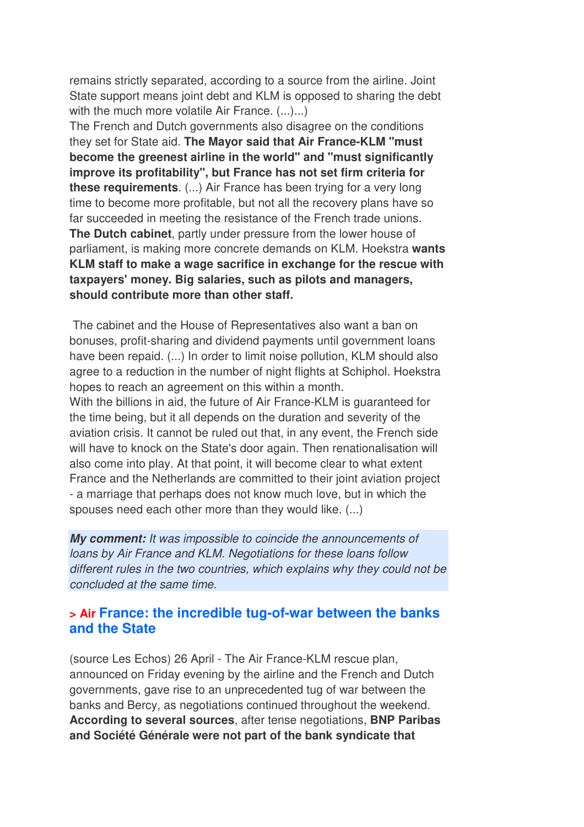remains strictly separated, according to a source from the airline. Joint State support means joint debt and KLM is opposed to sharing the debt with the much more volatile Air France.  $(...)...$ 

The French and Dutch governments also disagree on the conditions they set for State aid. **The Mayor said that Air France-KLM "must become the greenest airline in the world" and "must significantly improve its profitability", but France has not set firm criteria for these requirements**. (...) Air France has been trying for a very long time to become more profitable, but not all the recovery plans have so far succeeded in meeting the resistance of the French trade unions. **The Dutch cabinet**, partly under pressure from the lower house of parliament, is making more concrete demands on KLM. Hoekstra **wants KLM staff to make a wage sacrifice in exchange for the rescue with taxpayers' money. Big salaries, such as pilots and managers, should contribute more than other staff.** 

 The cabinet and the House of Representatives also want a ban on bonuses, profit-sharing and dividend payments until government loans have been repaid. (...) In order to limit noise pollution, KLM should also agree to a reduction in the number of night flights at Schiphol. Hoekstra hopes to reach an agreement on this within a month.

With the billions in aid, the future of Air France-KLM is guaranteed for the time being, but it all depends on the duration and severity of the aviation crisis. It cannot be ruled out that, in any event, the French side will have to knock on the State's door again. Then renationalisation will also come into play. At that point, it will become clear to what extent France and the Netherlands are committed to their joint aviation project - a marriage that perhaps does not know much love, but in which the spouses need each other more than they would like. (...)

*My comment:* It was impossible to coincide the announcements of loans by Air France and KLM. Negotiations for these loans follow different rules in the two countries, which explains why they could not be concluded at the same time.

#### **> Air France: the incredible tug-of-war between the banks and the State**

(source Les Echos) 26 April - The Air France-KLM rescue plan, announced on Friday evening by the airline and the French and Dutch governments, gave rise to an unprecedented tug of war between the banks and Bercy, as negotiations continued throughout the weekend. **According to several sources**, after tense negotiations, **BNP Paribas and Société Générale were not part of the bank syndicate that**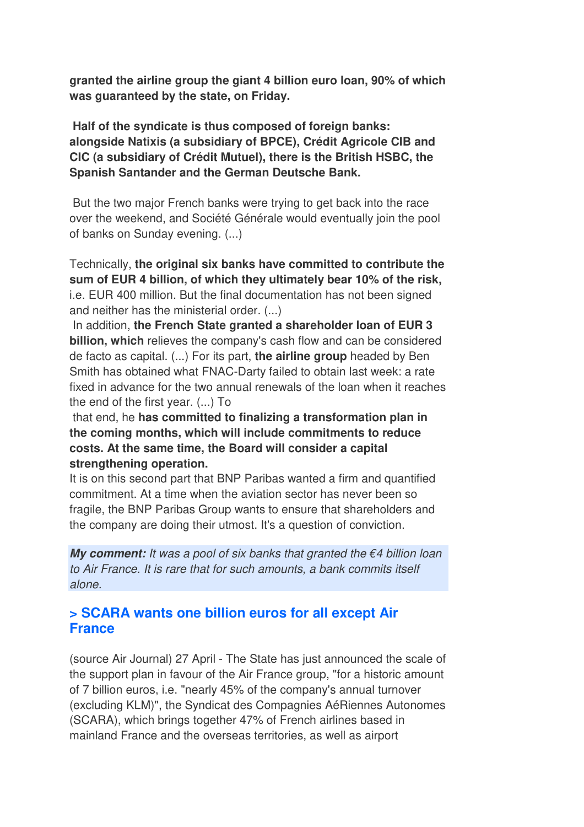**granted the airline group the giant 4 billion euro loan, 90% of which was guaranteed by the state, on Friday.** 

 **Half of the syndicate is thus composed of foreign banks: alongside Natixis (a subsidiary of BPCE), Crédit Agricole CIB and CIC (a subsidiary of Crédit Mutuel), there is the British HSBC, the Spanish Santander and the German Deutsche Bank.** 

 But the two major French banks were trying to get back into the race over the weekend, and Société Générale would eventually join the pool of banks on Sunday evening. (...)

Technically, **the original six banks have committed to contribute the sum of EUR 4 billion, of which they ultimately bear 10% of the risk,** i.e. EUR 400 million. But the final documentation has not been signed and neither has the ministerial order. (...)

 In addition, **the French State granted a shareholder loan of EUR 3 billion, which** relieves the company's cash flow and can be considered de facto as capital. (...) For its part, **the airline group** headed by Ben Smith has obtained what FNAC-Darty failed to obtain last week: a rate fixed in advance for the two annual renewals of the loan when it reaches the end of the first year. (...) To

 that end, he **has committed to finalizing a transformation plan in the coming months, which will include commitments to reduce costs. At the same time, the Board will consider a capital strengthening operation.** 

It is on this second part that BNP Paribas wanted a firm and quantified commitment. At a time when the aviation sector has never been so fragile, the BNP Paribas Group wants to ensure that shareholders and the company are doing their utmost. It's a question of conviction.

*My comment: It was a pool of six banks that granted the €4 billion loan* to Air France. It is rare that for such amounts, a bank commits itself alone.

### **> SCARA wants one billion euros for all except Air France**

(source Air Journal) 27 April - The State has just announced the scale of the support plan in favour of the Air France group, "for a historic amount of 7 billion euros, i.e. "nearly 45% of the company's annual turnover (excluding KLM)", the Syndicat des Compagnies AéRiennes Autonomes (SCARA), which brings together 47% of French airlines based in mainland France and the overseas territories, as well as airport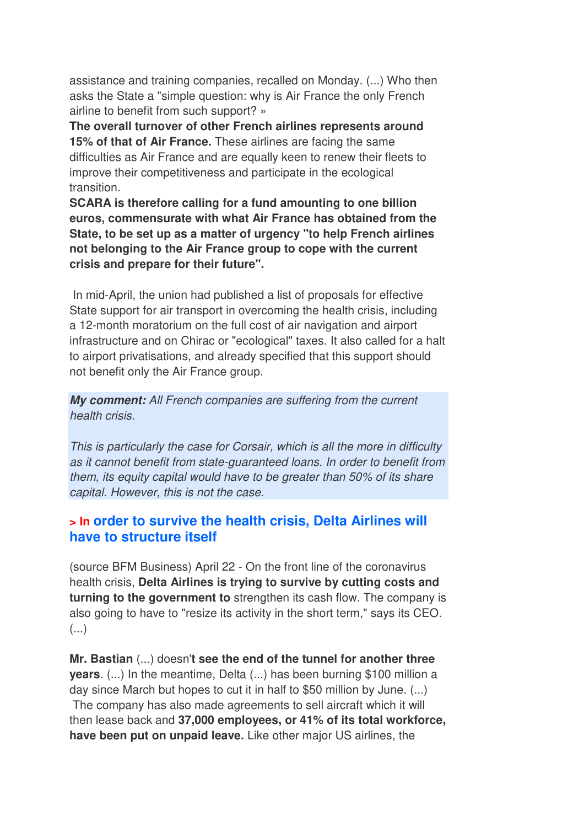assistance and training companies, recalled on Monday. (...) Who then asks the State a "simple question: why is Air France the only French airline to benefit from such support? »

**The overall turnover of other French airlines represents around 15% of that of Air France.** These airlines are facing the same difficulties as Air France and are equally keen to renew their fleets to improve their competitiveness and participate in the ecological transition.

**SCARA is therefore calling for a fund amounting to one billion euros, commensurate with what Air France has obtained from the State, to be set up as a matter of urgency "to help French airlines not belonging to the Air France group to cope with the current crisis and prepare for their future".** 

 In mid-April, the union had published a list of proposals for effective State support for air transport in overcoming the health crisis, including a 12-month moratorium on the full cost of air navigation and airport infrastructure and on Chirac or "ecological" taxes. It also called for a halt to airport privatisations, and already specified that this support should not benefit only the Air France group.

*My comment:* All French companies are suffering from the current health crisis.

This is particularly the case for Corsair, which is all the more in difficulty as it cannot benefit from state-guaranteed loans. In order to benefit from them, its equity capital would have to be greater than 50% of its share capital. However, this is not the case.

#### **> In order to survive the health crisis, Delta Airlines will have to structure itself**

(source BFM Business) April 22 - On the front line of the coronavirus health crisis, **Delta Airlines is trying to survive by cutting costs and turning to the government to** strengthen its cash flow. The company is also going to have to "resize its activity in the short term," says its CEO. (...)

**Mr. Bastian** (...) doesn'**t see the end of the tunnel for another three years**. (...) In the meantime, Delta (...) has been burning \$100 million a day since March but hopes to cut it in half to \$50 million by June. (...) The company has also made agreements to sell aircraft which it will then lease back and **37,000 employees, or 41% of its total workforce, have been put on unpaid leave.** Like other major US airlines, the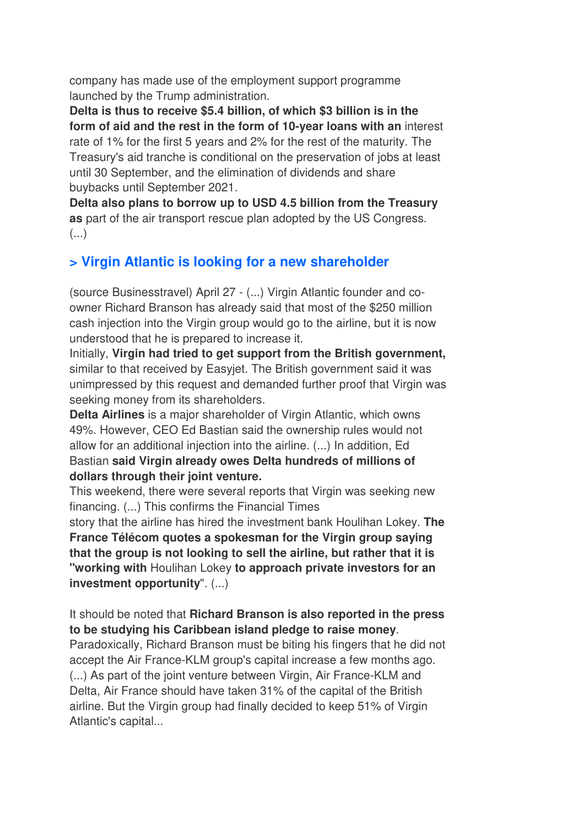company has made use of the employment support programme launched by the Trump administration.

**Delta is thus to receive \$5.4 billion, of which \$3 billion is in the form of aid and the rest in the form of 10-year loans with an** interest rate of 1% for the first 5 years and 2% for the rest of the maturity. The Treasury's aid tranche is conditional on the preservation of jobs at least until 30 September, and the elimination of dividends and share buybacks until September 2021.

**Delta also plans to borrow up to USD 4.5 billion from the Treasury as** part of the air transport rescue plan adopted by the US Congress.  $\left(\ldots\right)$ 

## **> Virgin Atlantic is looking for a new shareholder**

(source Businesstravel) April 27 - (...) Virgin Atlantic founder and coowner Richard Branson has already said that most of the \$250 million cash injection into the Virgin group would go to the airline, but it is now understood that he is prepared to increase it.

Initially, **Virgin had tried to get support from the British government,** similar to that received by Easyjet. The British government said it was unimpressed by this request and demanded further proof that Virgin was seeking money from its shareholders.

**Delta Airlines** is a major shareholder of Virgin Atlantic, which owns 49%. However, CEO Ed Bastian said the ownership rules would not allow for an additional injection into the airline. (...) In addition, Ed Bastian **said Virgin already owes Delta hundreds of millions of dollars through their joint venture.** 

This weekend, there were several reports that Virgin was seeking new financing. (...) This confirms the Financial Times

story that the airline has hired the investment bank Houlihan Lokey. **The France Télécom quotes a spokesman for the Virgin group saying that the group is not looking to sell the airline, but rather that it is "working with** Houlihan Lokey **to approach private investors for an investment opportunity**". (...)

#### It should be noted that **Richard Branson is also reported in the press to be studying his Caribbean island pledge to raise money**.

Paradoxically, Richard Branson must be biting his fingers that he did not accept the Air France-KLM group's capital increase a few months ago. (...) As part of the joint venture between Virgin, Air France-KLM and Delta, Air France should have taken 31% of the capital of the British airline. But the Virgin group had finally decided to keep 51% of Virgin Atlantic's capital...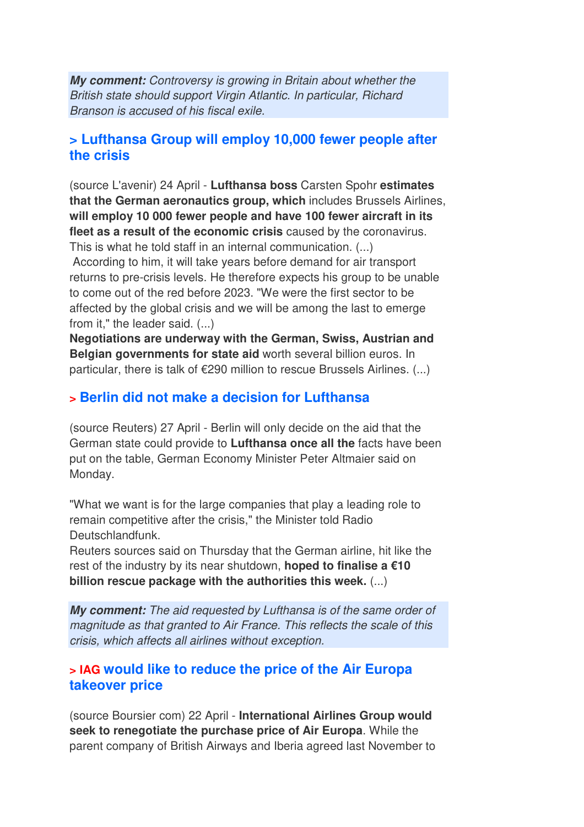*My comment:* Controversy is growing in Britain about whether the British state should support Virgin Atlantic. In particular, Richard Branson is accused of his fiscal exile.

#### **> Lufthansa Group will employ 10,000 fewer people after the crisis**

(source L'avenir) 24 April - **Lufthansa boss** Carsten Spohr **estimates that the German aeronautics group, which** includes Brussels Airlines, **will employ 10 000 fewer people and have 100 fewer aircraft in its fleet as a result of the economic crisis** caused by the coronavirus. This is what he told staff in an internal communication. (...)

 According to him, it will take years before demand for air transport returns to pre-crisis levels. He therefore expects his group to be unable to come out of the red before 2023. "We were the first sector to be affected by the global crisis and we will be among the last to emerge from it," the leader said. (...)

**Negotiations are underway with the German, Swiss, Austrian and Belgian governments for state aid** worth several billion euros. In particular, there is talk of €290 million to rescue Brussels Airlines. (...)

#### **> Berlin did not make a decision for Lufthansa**

(source Reuters) 27 April - Berlin will only decide on the aid that the German state could provide to **Lufthansa once all the** facts have been put on the table, German Economy Minister Peter Altmaier said on Monday.

"What we want is for the large companies that play a leading role to remain competitive after the crisis," the Minister told Radio Deutschlandfunk.

Reuters sources said on Thursday that the German airline, hit like the rest of the industry by its near shutdown, **hoped to finalise a €10 billion rescue package with the authorities this week.** (...)

*My comment:* The aid requested by Lufthansa is of the same order of magnitude as that granted to Air France. This reflects the scale of this crisis, which affects all airlines without exception.

#### **> IAG would like to reduce the price of the Air Europa takeover price**

(source Boursier com) 22 April - **International Airlines Group would seek to renegotiate the purchase price of Air Europa**. While the parent company of British Airways and Iberia agreed last November to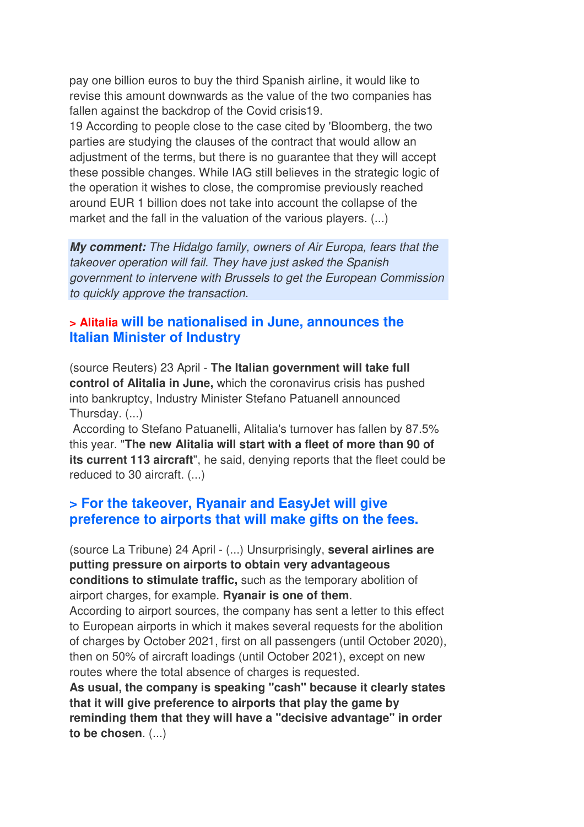pay one billion euros to buy the third Spanish airline, it would like to revise this amount downwards as the value of the two companies has fallen against the backdrop of the Covid crisis19.

19 According to people close to the case cited by 'Bloomberg, the two parties are studying the clauses of the contract that would allow an adjustment of the terms, but there is no guarantee that they will accept these possible changes. While IAG still believes in the strategic logic of the operation it wishes to close, the compromise previously reached around EUR 1 billion does not take into account the collapse of the market and the fall in the valuation of the various players. (...)

*My comment:* The Hidalgo family, owners of Air Europa, fears that the takeover operation will fail. They have just asked the Spanish government to intervene with Brussels to get the European Commission to quickly approve the transaction.

### **> Alitalia will be nationalised in June, announces the Italian Minister of Industry**

(source Reuters) 23 April - **The Italian government will take full control of Alitalia in June,** which the coronavirus crisis has pushed into bankruptcy, Industry Minister Stefano Patuanell announced Thursday. (...)

 According to Stefano Patuanelli, Alitalia's turnover has fallen by 87.5% this year. "**The new Alitalia will start with a fleet of more than 90 of its current 113 aircraft**", he said, denying reports that the fleet could be reduced to 30 aircraft. (...)

#### **> For the takeover, Ryanair and EasyJet will give preference to airports that will make gifts on the fees.**

(source La Tribune) 24 April - (...) Unsurprisingly, **several airlines are putting pressure on airports to obtain very advantageous conditions to stimulate traffic,** such as the temporary abolition of airport charges, for example. **Ryanair is one of them**.

According to airport sources, the company has sent a letter to this effect to European airports in which it makes several requests for the abolition of charges by October 2021, first on all passengers (until October 2020), then on 50% of aircraft loadings (until October 2021), except on new routes where the total absence of charges is requested.

**As usual, the company is speaking "cash" because it clearly states that it will give preference to airports that play the game by reminding them that they will have a "decisive advantage" in order to be chosen**. (...)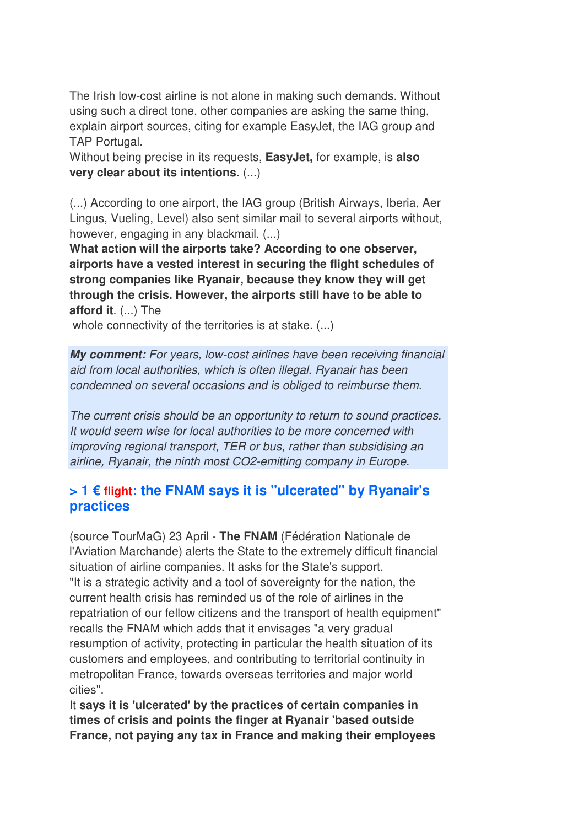The Irish low-cost airline is not alone in making such demands. Without using such a direct tone, other companies are asking the same thing, explain airport sources, citing for example EasyJet, the IAG group and TAP Portugal.

Without being precise in its requests, **EasyJet,** for example, is **also very clear about its intentions**. (...)

(...) According to one airport, the IAG group (British Airways, Iberia, Aer Lingus, Vueling, Level) also sent similar mail to several airports without, however, engaging in any blackmail. (...)

**What action will the airports take? According to one observer, airports have a vested interest in securing the flight schedules of strong companies like Ryanair, because they know they will get through the crisis. However, the airports still have to be able to afford it**. (...) The

whole connectivity of the territories is at stake. (...)

*My comment:* For years, low-cost airlines have been receiving financial aid from local authorities, which is often illegal. Ryanair has been condemned on several occasions and is obliged to reimburse them.

The current crisis should be an opportunity to return to sound practices. It would seem wise for local authorities to be more concerned with improving regional transport, TER or bus, rather than subsidising an airline, Ryanair, the ninth most CO2-emitting company in Europe.

### **> 1 € flight: the FNAM says it is "ulcerated" by Ryanair's practices**

(source TourMaG) 23 April - **The FNAM** (Fédération Nationale de l'Aviation Marchande) alerts the State to the extremely difficult financial situation of airline companies. It asks for the State's support. "It is a strategic activity and a tool of sovereignty for the nation, the current health crisis has reminded us of the role of airlines in the repatriation of our fellow citizens and the transport of health equipment" recalls the FNAM which adds that it envisages "a very gradual resumption of activity, protecting in particular the health situation of its customers and employees, and contributing to territorial continuity in metropolitan France, towards overseas territories and major world cities".

It **says it is 'ulcerated' by the practices of certain companies in times of crisis and points the finger at Ryanair 'based outside France, not paying any tax in France and making their employees**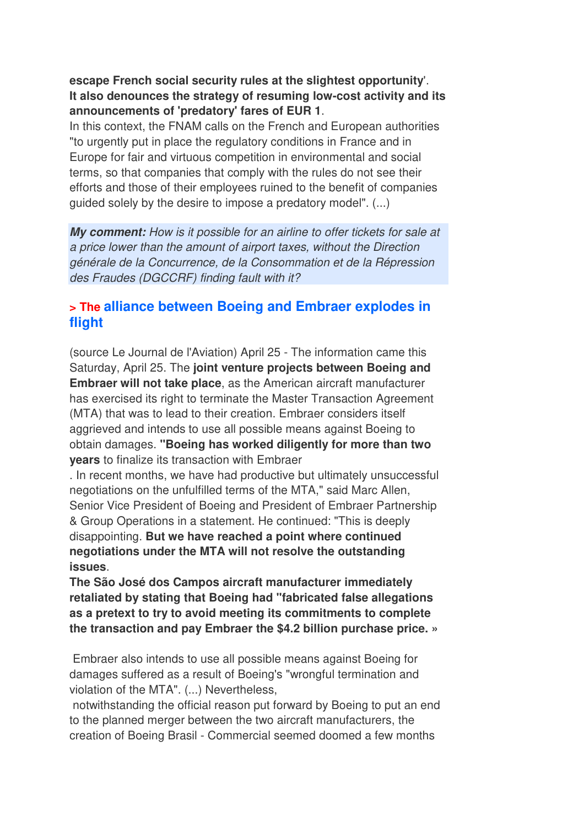#### **escape French social security rules at the slightest opportunity**'. **It also denounces the strategy of resuming low-cost activity and its announcements of 'predatory' fares of EUR 1**.

In this context, the FNAM calls on the French and European authorities "to urgently put in place the regulatory conditions in France and in Europe for fair and virtuous competition in environmental and social terms, so that companies that comply with the rules do not see their efforts and those of their employees ruined to the benefit of companies guided solely by the desire to impose a predatory model". (...)

*My comment:* How is it possible for an airline to offer tickets for sale at a price lower than the amount of airport taxes, without the Direction générale de la Concurrence, de la Consommation et de la Répression des Fraudes (DGCCRF) finding fault with it?

### **> The alliance between Boeing and Embraer explodes in flight**

(source Le Journal de l'Aviation) April 25 - The information came this Saturday, April 25. The **joint venture projects between Boeing and Embraer will not take place**, as the American aircraft manufacturer has exercised its right to terminate the Master Transaction Agreement (MTA) that was to lead to their creation. Embraer considers itself aggrieved and intends to use all possible means against Boeing to obtain damages. **"Boeing has worked diligently for more than two years** to finalize its transaction with Embraer

. In recent months, we have had productive but ultimately unsuccessful negotiations on the unfulfilled terms of the MTA," said Marc Allen, Senior Vice President of Boeing and President of Embraer Partnership & Group Operations in a statement. He continued: "This is deeply disappointing. **But we have reached a point where continued negotiations under the MTA will not resolve the outstanding issues**.

**The São José dos Campos aircraft manufacturer immediately retaliated by stating that Boeing had "fabricated false allegations as a pretext to try to avoid meeting its commitments to complete the transaction and pay Embraer the \$4.2 billion purchase price. »** 

 Embraer also intends to use all possible means against Boeing for damages suffered as a result of Boeing's "wrongful termination and violation of the MTA". (...) Nevertheless,

 notwithstanding the official reason put forward by Boeing to put an end to the planned merger between the two aircraft manufacturers, the creation of Boeing Brasil - Commercial seemed doomed a few months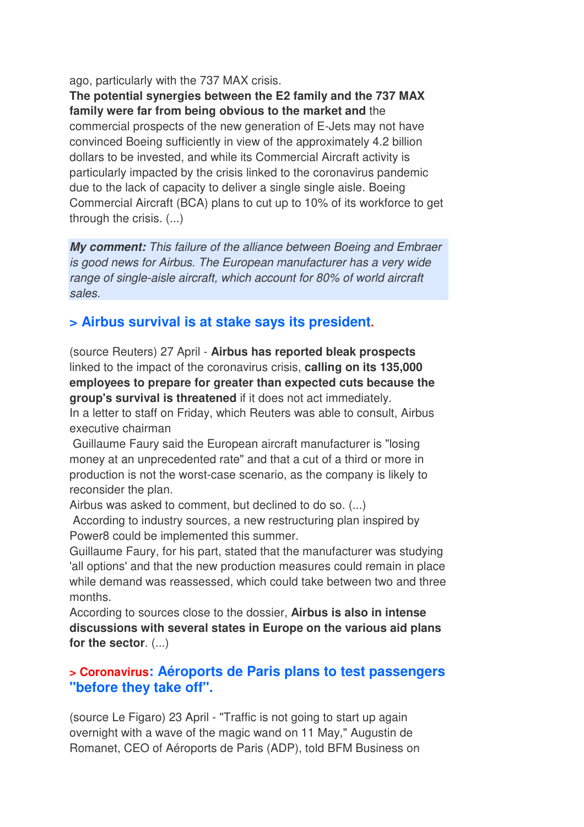ago, particularly with the 737 MAX crisis.

**The potential synergies between the E2 family and the 737 MAX family were far from being obvious to the market and** the commercial prospects of the new generation of E-Jets may not have convinced Boeing sufficiently in view of the approximately 4.2 billion dollars to be invested, and while its Commercial Aircraft activity is particularly impacted by the crisis linked to the coronavirus pandemic due to the lack of capacity to deliver a single single aisle. Boeing Commercial Aircraft (BCA) plans to cut up to 10% of its workforce to get through the crisis. (...)

*My comment:* This failure of the alliance between Boeing and Embraer is good news for Airbus. The European manufacturer has a very wide range of single-aisle aircraft, which account for 80% of world aircraft sales.

## **> Airbus survival is at stake says its president.**

(source Reuters) 27 April - **Airbus has reported bleak prospects** linked to the impact of the coronavirus crisis, **calling on its 135,000 employees to prepare for greater than expected cuts because the group's survival is threatened** if it does not act immediately. In a letter to staff on Friday, which Reuters was able to consult, Airbus executive chairman

 Guillaume Faury said the European aircraft manufacturer is "losing money at an unprecedented rate" and that a cut of a third or more in production is not the worst-case scenario, as the company is likely to reconsider the plan.

Airbus was asked to comment, but declined to do so. (...)

 According to industry sources, a new restructuring plan inspired by Power8 could be implemented this summer.

Guillaume Faury, for his part, stated that the manufacturer was studying 'all options' and that the new production measures could remain in place while demand was reassessed, which could take between two and three months.

According to sources close to the dossier, **Airbus is also in intense discussions with several states in Europe on the various aid plans for the sector**. (...)

#### **> Coronavirus: Aéroports de Paris plans to test passengers "before they take off".**

(source Le Figaro) 23 April - "Traffic is not going to start up again overnight with a wave of the magic wand on 11 May," Augustin de Romanet, CEO of Aéroports de Paris (ADP), told BFM Business on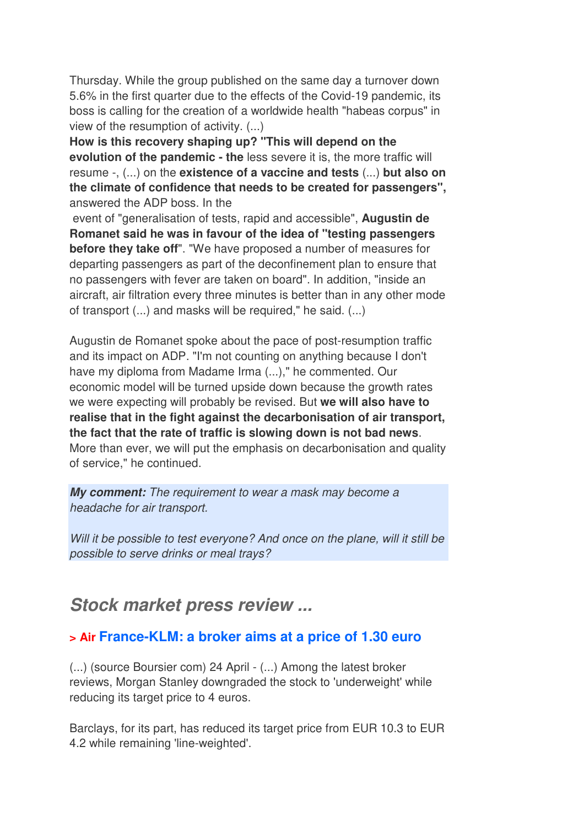Thursday. While the group published on the same day a turnover down 5.6% in the first quarter due to the effects of the Covid-19 pandemic, its boss is calling for the creation of a worldwide health "habeas corpus" in view of the resumption of activity. (...)

**How is this recovery shaping up? "This will depend on the evolution of the pandemic - the** less severe it is, the more traffic will resume -, (...) on the **existence of a vaccine and tests** (...) **but also on the climate of confidence that needs to be created for passengers",** answered the ADP boss. In the

 event of "generalisation of tests, rapid and accessible", **Augustin de Romanet said he was in favour of the idea of "testing passengers before they take off**". "We have proposed a number of measures for departing passengers as part of the deconfinement plan to ensure that no passengers with fever are taken on board". In addition, "inside an aircraft, air filtration every three minutes is better than in any other mode of transport (...) and masks will be required," he said. (...)

Augustin de Romanet spoke about the pace of post-resumption traffic and its impact on ADP. "I'm not counting on anything because I don't have my diploma from Madame Irma (...)," he commented. Our economic model will be turned upside down because the growth rates we were expecting will probably be revised. But **we will also have to realise that in the fight against the decarbonisation of air transport, the fact that the rate of traffic is slowing down is not bad news**. More than ever, we will put the emphasis on decarbonisation and quality of service," he continued.

*My comment:* The requirement to wear a mask may become a headache for air transport.

Will it be possible to test everyone? And once on the plane, will it still be possible to serve drinks or meal trays?

## *Stock market press review ...*

## **> Air France-KLM: a broker aims at a price of 1.30 euro**

(...) (source Boursier com) 24 April - (...) Among the latest broker reviews, Morgan Stanley downgraded the stock to 'underweight' while reducing its target price to 4 euros.

Barclays, for its part, has reduced its target price from EUR 10.3 to EUR 4.2 while remaining 'line-weighted'.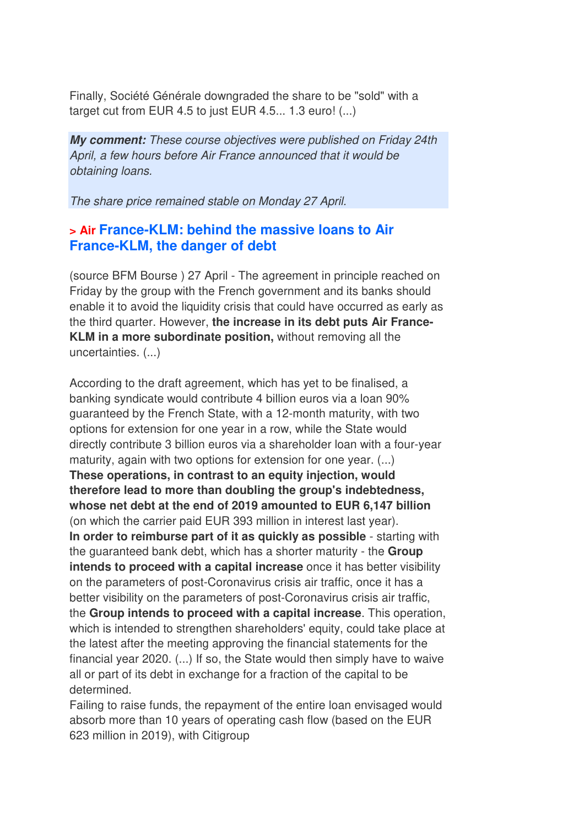Finally, Société Générale downgraded the share to be "sold" with a target cut from EUR 4.5 to just EUR 4.5... 1.3 euro! (...)

*My comment:* These course objectives were published on Friday 24th April, a few hours before Air France announced that it would be obtaining loans.

The share price remained stable on Monday 27 April.

### **> Air France-KLM: behind the massive loans to Air France-KLM, the danger of debt**

(source BFM Bourse ) 27 April - The agreement in principle reached on Friday by the group with the French government and its banks should enable it to avoid the liquidity crisis that could have occurred as early as the third quarter. However, **the increase in its debt puts Air France-KLM in a more subordinate position,** without removing all the uncertainties. (...)

According to the draft agreement, which has yet to be finalised, a banking syndicate would contribute 4 billion euros via a loan 90% guaranteed by the French State, with a 12-month maturity, with two options for extension for one year in a row, while the State would directly contribute 3 billion euros via a shareholder loan with a four-year maturity, again with two options for extension for one year. (...) **These operations, in contrast to an equity injection, would therefore lead to more than doubling the group's indebtedness, whose net debt at the end of 2019 amounted to EUR 6,147 billion** (on which the carrier paid EUR 393 million in interest last year). **In order to reimburse part of it as quickly as possible** - starting with the guaranteed bank debt, which has a shorter maturity - the **Group intends to proceed with a capital increase** once it has better visibility on the parameters of post-Coronavirus crisis air traffic, once it has a better visibility on the parameters of post-Coronavirus crisis air traffic, the **Group intends to proceed with a capital increase**. This operation, which is intended to strengthen shareholders' equity, could take place at the latest after the meeting approving the financial statements for the financial year 2020. (...) If so, the State would then simply have to waive all or part of its debt in exchange for a fraction of the capital to be determined.

Failing to raise funds, the repayment of the entire loan envisaged would absorb more than 10 years of operating cash flow (based on the EUR 623 million in 2019), with Citigroup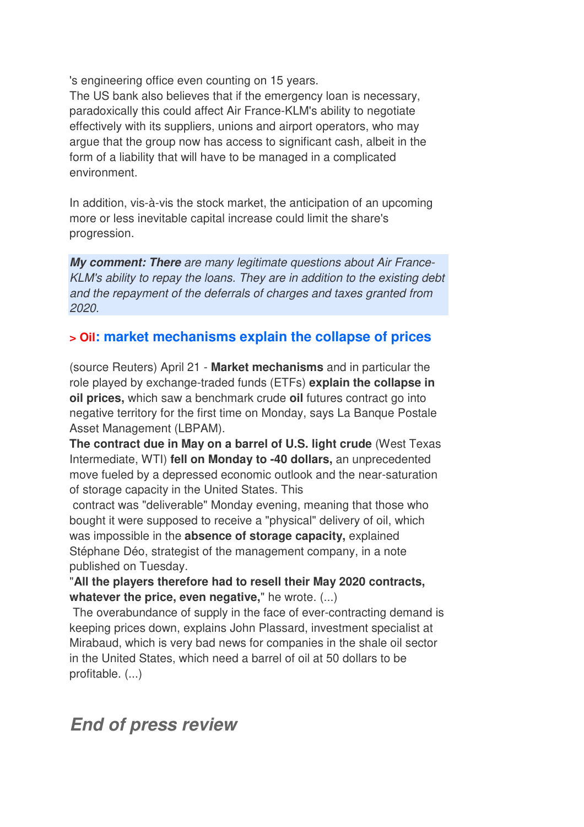's engineering office even counting on 15 years.

The US bank also believes that if the emergency loan is necessary, paradoxically this could affect Air France-KLM's ability to negotiate effectively with its suppliers, unions and airport operators, who may argue that the group now has access to significant cash, albeit in the form of a liability that will have to be managed in a complicated environment.

In addition, vis-à-vis the stock market, the anticipation of an upcoming more or less inevitable capital increase could limit the share's progression.

*My comment: There* are many legitimate questions about Air France-KLM's ability to repay the loans. They are in addition to the existing debt and the repayment of the deferrals of charges and taxes granted from 2020.

## **> Oil: market mechanisms explain the collapse of prices**

(source Reuters) April 21 - **Market mechanisms** and in particular the role played by exchange-traded funds (ETFs) **explain the collapse in oil prices,** which saw a benchmark crude **oil** futures contract go into negative territory for the first time on Monday, says La Banque Postale Asset Management (LBPAM).

**The contract due in May on a barrel of U.S. light crude** (West Texas Intermediate, WTI) **fell on Monday to -40 dollars,** an unprecedented move fueled by a depressed economic outlook and the near-saturation of storage capacity in the United States. This

 contract was "deliverable" Monday evening, meaning that those who bought it were supposed to receive a "physical" delivery of oil, which was impossible in the **absence of storage capacity,** explained Stéphane Déo, strategist of the management company, in a note published on Tuesday.

"**All the players therefore had to resell their May 2020 contracts, whatever the price, even negative,**" he wrote. (...)

 The overabundance of supply in the face of ever-contracting demand is keeping prices down, explains John Plassard, investment specialist at Mirabaud, which is very bad news for companies in the shale oil sector in the United States, which need a barrel of oil at 50 dollars to be profitable. (...)

## *End of press review*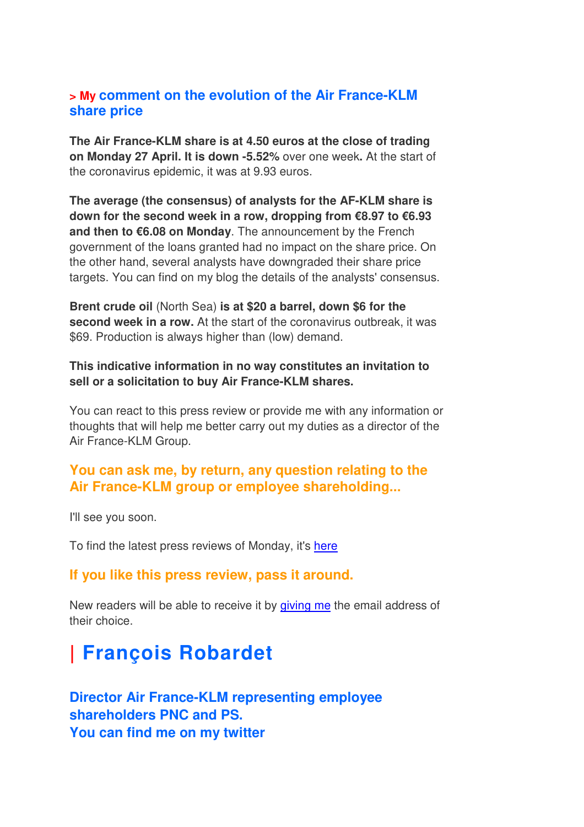#### **> My comment on the evolution of the Air France-KLM share price**

**The Air France-KLM share is at 4.50 euros at the close of trading on Monday 27 April. It is down -5.52%** over one week**.** At the start of the coronavirus epidemic, it was at 9.93 euros.

**The average (the consensus) of analysts for the AF-KLM share is down for the second week in a row, dropping from €8.97 to €6.93 and then to €6.08 on Monday**. The announcement by the French government of the loans granted had no impact on the share price. On the other hand, several analysts have downgraded their share price targets. You can find on my blog the details of the analysts' consensus.

**Brent crude oil** (North Sea) **is at \$20 a barrel, down \$6 for the second week in a row.** At the start of the coronavirus outbreak, it was \$69. Production is always higher than (low) demand.

#### **This indicative information in no way constitutes an invitation to sell or a solicitation to buy Air France-KLM shares.**

You can react to this press review or provide me with any information or thoughts that will help me better carry out my duties as a director of the Air France-KLM Group.

## **You can ask me, by return, any question relating to the Air France-KLM group or employee shareholding...**

I'll see you soon.

To find the latest press reviews of Monday, it's here

#### **If you like this press review, pass it around.**

New readers will be able to receive it by giving me the email address of their choice.

# **| François Robardet**

**Director Air France-KLM representing employee shareholders PNC and PS. You can find me on my twitter**